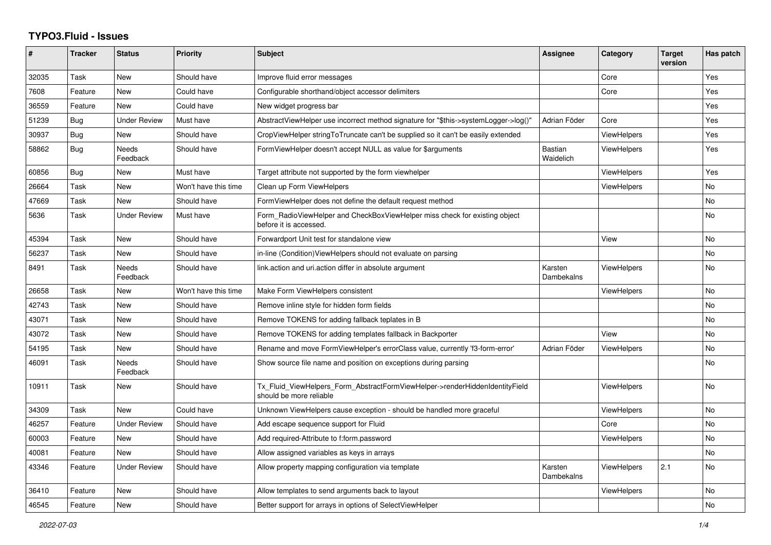## **TYPO3.Fluid - Issues**

| #     | <b>Tracker</b> | <b>Status</b>       | <b>Priority</b>      | <b>Subject</b>                                                                                         | Assignee                    | Category           | <b>Target</b><br>version | Has patch |
|-------|----------------|---------------------|----------------------|--------------------------------------------------------------------------------------------------------|-----------------------------|--------------------|--------------------------|-----------|
| 32035 | Task           | New                 | Should have          | Improve fluid error messages                                                                           |                             | Core               |                          | Yes       |
| 7608  | Feature        | <b>New</b>          | Could have           | Configurable shorthand/object accessor delimiters                                                      |                             | Core               |                          | Yes       |
| 36559 | Feature        | <b>New</b>          | Could have           | New widget progress bar                                                                                |                             |                    |                          | Yes       |
| 51239 | Bug            | <b>Under Review</b> | Must have            | AbstractViewHelper use incorrect method signature for "\$this->systemLogger->log()"                    | Adrian Föder                | Core               |                          | Yes       |
| 30937 | Bug            | New                 | Should have          | CropViewHelper stringToTruncate can't be supplied so it can't be easily extended                       |                             | <b>ViewHelpers</b> |                          | Yes       |
| 58862 | Bug            | Needs<br>Feedback   | Should have          | FormViewHelper doesn't accept NULL as value for \$arguments                                            | <b>Bastian</b><br>Waidelich | <b>ViewHelpers</b> |                          | Yes       |
| 60856 | Bug            | New                 | Must have            | Target attribute not supported by the form viewhelper                                                  |                             | ViewHelpers        |                          | Yes       |
| 26664 | Task           | New                 | Won't have this time | Clean up Form ViewHelpers                                                                              |                             | <b>ViewHelpers</b> |                          | No        |
| 47669 | Task           | New                 | Should have          | FormViewHelper does not define the default request method                                              |                             |                    |                          | No        |
| 5636  | Task           | Under Review        | Must have            | Form RadioViewHelper and CheckBoxViewHelper miss check for existing object<br>before it is accessed.   |                             |                    |                          | No.       |
| 45394 | Task           | <b>New</b>          | Should have          | Forwardport Unit test for standalone view                                                              |                             | View               |                          | <b>No</b> |
| 56237 | Task           | New                 | Should have          | in-line (Condition) View Helpers should not evaluate on parsing                                        |                             |                    |                          | No        |
| 8491  | Task           | Needs<br>Feedback   | Should have          | link action and uri action differ in absolute argument                                                 | Karsten<br>Dambekalns       | <b>ViewHelpers</b> |                          | No        |
| 26658 | Task           | New                 | Won't have this time | Make Form ViewHelpers consistent                                                                       |                             | <b>ViewHelpers</b> |                          | <b>No</b> |
| 42743 | Task           | New                 | Should have          | Remove inline style for hidden form fields                                                             |                             |                    |                          | <b>No</b> |
| 43071 | Task           | New                 | Should have          | Remove TOKENS for adding fallback teplates in B                                                        |                             |                    |                          | No        |
| 43072 | Task           | New                 | Should have          | Remove TOKENS for adding templates fallback in Backporter                                              |                             | View               |                          | No        |
| 54195 | Task           | New                 | Should have          | Rename and move FormViewHelper's errorClass value, currently 'f3-form-error'                           | Adrian Föder                | <b>ViewHelpers</b> |                          | <b>No</b> |
| 46091 | Task           | Needs<br>Feedback   | Should have          | Show source file name and position on exceptions during parsing                                        |                             |                    |                          | <b>No</b> |
| 10911 | Task           | New                 | Should have          | Tx Fluid ViewHelpers Form AbstractFormViewHelper->renderHiddenIdentityField<br>should be more reliable |                             | <b>ViewHelpers</b> |                          | No        |
| 34309 | Task           | <b>New</b>          | Could have           | Unknown ViewHelpers cause exception - should be handled more graceful                                  |                             | <b>ViewHelpers</b> |                          | No        |
| 46257 | Feature        | <b>Under Review</b> | Should have          | Add escape sequence support for Fluid                                                                  |                             | Core               |                          | No        |
| 60003 | Feature        | New                 | Should have          | Add required-Attribute to f:form.password                                                              |                             | ViewHelpers        |                          | <b>No</b> |
| 40081 | Feature        | <b>New</b>          | Should have          | Allow assigned variables as keys in arrays                                                             |                             |                    |                          | No        |
| 43346 | Feature        | <b>Under Review</b> | Should have          | Allow property mapping configuration via template                                                      | Karsten<br>Dambekalns       | <b>ViewHelpers</b> | 2.1                      | <b>No</b> |
| 36410 | Feature        | <b>New</b>          | Should have          | Allow templates to send arguments back to layout                                                       |                             | <b>ViewHelpers</b> |                          | No        |
| 46545 | Feature        | New                 | Should have          | Better support for arrays in options of SelectViewHelper                                               |                             |                    |                          | <b>No</b> |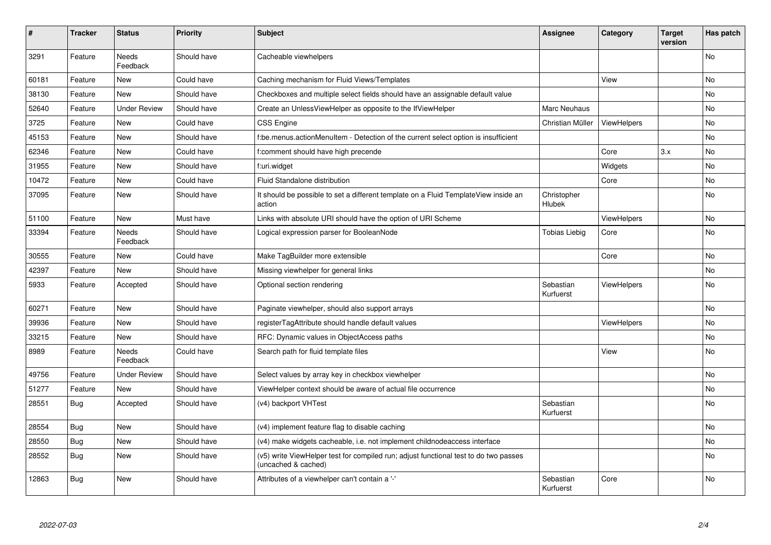| $\vert$ # | <b>Tracker</b> | <b>Status</b>       | <b>Priority</b> | <b>Subject</b>                                                                                              | Assignee               | Category           | Target<br>version | Has patch |
|-----------|----------------|---------------------|-----------------|-------------------------------------------------------------------------------------------------------------|------------------------|--------------------|-------------------|-----------|
| 3291      | Feature        | Needs<br>Feedback   | Should have     | Cacheable viewhelpers                                                                                       |                        |                    |                   | <b>No</b> |
| 60181     | Feature        | New                 | Could have      | Caching mechanism for Fluid Views/Templates                                                                 |                        | View               |                   | <b>No</b> |
| 38130     | Feature        | <b>New</b>          | Should have     | Checkboxes and multiple select fields should have an assignable default value                               |                        |                    |                   | No        |
| 52640     | Feature        | <b>Under Review</b> | Should have     | Create an UnlessViewHelper as opposite to the IfViewHelper                                                  | Marc Neuhaus           |                    |                   | No        |
| 3725      | Feature        | <b>New</b>          | Could have      | <b>CSS Engine</b>                                                                                           | Christian Müller       | <b>ViewHelpers</b> |                   | No        |
| 45153     | Feature        | New                 | Should have     | f:be.menus.actionMenuItem - Detection of the current select option is insufficient                          |                        |                    |                   | <b>No</b> |
| 62346     | Feature        | New                 | Could have      | f:comment should have high precende                                                                         |                        | Core               | 3.x               | No        |
| 31955     | Feature        | New                 | Should have     | f:uri.widget                                                                                                |                        | Widgets            |                   | <b>No</b> |
| 10472     | Feature        | <b>New</b>          | Could have      | Fluid Standalone distribution                                                                               |                        | Core               |                   | <b>No</b> |
| 37095     | Feature        | <b>New</b>          | Should have     | It should be possible to set a different template on a Fluid TemplateView inside an<br>action               | Christopher<br>Hlubek  |                    |                   | <b>No</b> |
| 51100     | Feature        | <b>New</b>          | Must have       | Links with absolute URI should have the option of URI Scheme                                                |                        | <b>ViewHelpers</b> |                   | No        |
| 33394     | Feature        | Needs<br>Feedback   | Should have     | Logical expression parser for BooleanNode                                                                   | Tobias Liebig          | Core               |                   | <b>No</b> |
| 30555     | Feature        | New                 | Could have      | Make TagBuilder more extensible                                                                             |                        | Core               |                   | No        |
| 42397     | Feature        | New                 | Should have     | Missing viewhelper for general links                                                                        |                        |                    |                   | No        |
| 5933      | Feature        | Accepted            | Should have     | Optional section rendering                                                                                  | Sebastian<br>Kurfuerst | <b>ViewHelpers</b> |                   | No        |
| 60271     | Feature        | New                 | Should have     | Paginate viewhelper, should also support arrays                                                             |                        |                    |                   | No        |
| 39936     | Feature        | <b>New</b>          | Should have     | registerTagAttribute should handle default values                                                           |                        | <b>ViewHelpers</b> |                   | No        |
| 33215     | Feature        | New                 | Should have     | RFC: Dynamic values in ObjectAccess paths                                                                   |                        |                    |                   | <b>No</b> |
| 8989      | Feature        | Needs<br>Feedback   | Could have      | Search path for fluid template files                                                                        |                        | View               |                   | <b>No</b> |
| 49756     | Feature        | <b>Under Review</b> | Should have     | Select values by array key in checkbox viewhelper                                                           |                        |                    |                   | <b>No</b> |
| 51277     | Feature        | New                 | Should have     | ViewHelper context should be aware of actual file occurrence                                                |                        |                    |                   | <b>No</b> |
| 28551     | <b>Bug</b>     | Accepted            | Should have     | (v4) backport VHTest                                                                                        | Sebastian<br>Kurfuerst |                    |                   | No        |
| 28554     | Bug            | New                 | Should have     | (v4) implement feature flag to disable caching                                                              |                        |                    |                   | No        |
| 28550     | Bug            | New                 | Should have     | (v4) make widgets cacheable, i.e. not implement childnodeaccess interface                                   |                        |                    |                   | No        |
| 28552     | <b>Bug</b>     | New                 | Should have     | (v5) write ViewHelper test for compiled run; adjust functional test to do two passes<br>(uncached & cached) |                        |                    |                   | <b>No</b> |
| 12863     | <b>Bug</b>     | New                 | Should have     | Attributes of a viewhelper can't contain a '-'                                                              | Sebastian<br>Kurfuerst | Core               |                   | No        |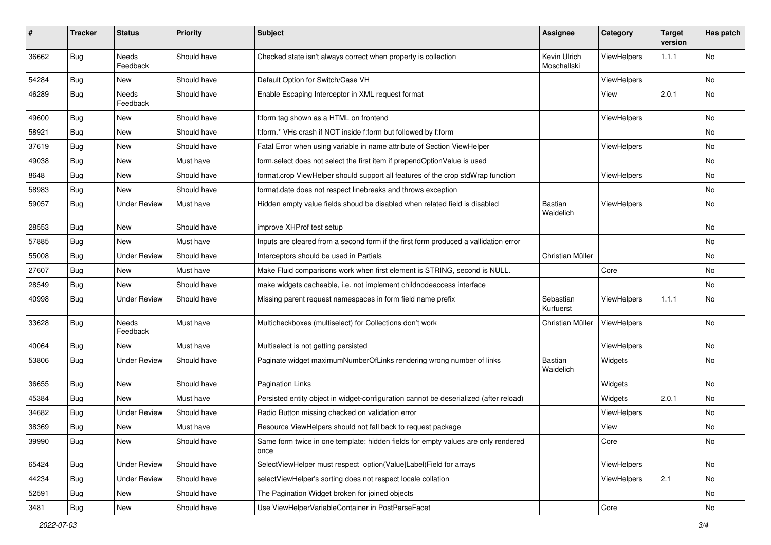| #     | <b>Tracker</b> | <b>Status</b>            | Priority    | <b>Subject</b>                                                                            | <b>Assignee</b>             | Category    | <b>Target</b><br>version | Has patch |
|-------|----------------|--------------------------|-------------|-------------------------------------------------------------------------------------------|-----------------------------|-------------|--------------------------|-----------|
| 36662 | Bug            | <b>Needs</b><br>Feedback | Should have | Checked state isn't always correct when property is collection                            | Kevin Ulrich<br>Moschallski | ViewHelpers | 1.1.1                    | <b>No</b> |
| 54284 | Bug            | New                      | Should have | Default Option for Switch/Case VH                                                         |                             | ViewHelpers |                          | <b>No</b> |
| 46289 | Bug            | <b>Needs</b><br>Feedback | Should have | Enable Escaping Interceptor in XML request format                                         |                             | View        | 2.0.1                    | <b>No</b> |
| 49600 | Bug            | New                      | Should have | f:form tag shown as a HTML on frontend                                                    |                             | ViewHelpers |                          | <b>No</b> |
| 58921 | Bug            | New                      | Should have | f:form.* VHs crash if NOT inside f:form but followed by f:form                            |                             |             |                          | No        |
| 37619 | Bug            | New                      | Should have | Fatal Error when using variable in name attribute of Section ViewHelper                   |                             | ViewHelpers |                          | No        |
| 49038 | Bug            | New                      | Must have   | form.select does not select the first item if prependOptionValue is used                  |                             |             |                          | No        |
| 8648  | Bug            | New                      | Should have | format.crop ViewHelper should support all features of the crop stdWrap function           |                             | ViewHelpers |                          | No        |
| 58983 | Bug            | New                      | Should have | format.date does not respect linebreaks and throws exception                              |                             |             |                          | No        |
| 59057 | Bug            | <b>Under Review</b>      | Must have   | Hidden empty value fields shoud be disabled when related field is disabled                | <b>Bastian</b><br>Waidelich | ViewHelpers |                          | No        |
| 28553 | Bug            | <b>New</b>               | Should have | improve XHProf test setup                                                                 |                             |             |                          | <b>No</b> |
| 57885 | Bug            | New                      | Must have   | Inputs are cleared from a second form if the first form produced a vallidation error      |                             |             |                          | No        |
| 55008 | Bug            | <b>Under Review</b>      | Should have | Interceptors should be used in Partials                                                   | Christian Müller            |             |                          | No        |
| 27607 | Bug            | New                      | Must have   | Make Fluid comparisons work when first element is STRING, second is NULL.                 |                             | Core        |                          | No        |
| 28549 | Bug            | New                      | Should have | make widgets cacheable, i.e. not implement childnodeaccess interface                      |                             |             |                          | No        |
| 40998 | Bug            | <b>Under Review</b>      | Should have | Missing parent request namespaces in form field name prefix                               | Sebastian<br>Kurfuerst      | ViewHelpers | 1.1.1                    | No        |
| 33628 | Bug            | Needs<br>Feedback        | Must have   | Multicheckboxes (multiselect) for Collections don't work                                  | Christian Müller            | ViewHelpers |                          | <b>No</b> |
| 40064 | Bug            | New                      | Must have   | Multiselect is not getting persisted                                                      |                             | ViewHelpers |                          | No        |
| 53806 | Bug            | <b>Under Review</b>      | Should have | Paginate widget maximumNumberOfLinks rendering wrong number of links                      | Bastian<br>Waidelich        | Widgets     |                          | <b>No</b> |
| 36655 | Bug            | New                      | Should have | <b>Pagination Links</b>                                                                   |                             | Widgets     |                          | No        |
| 45384 | Bug            | New                      | Must have   | Persisted entity object in widget-configuration cannot be deserialized (after reload)     |                             | Widgets     | 2.0.1                    | No        |
| 34682 | Bug            | <b>Under Review</b>      | Should have | Radio Button missing checked on validation error                                          |                             | ViewHelpers |                          | No        |
| 38369 | Bug            | New                      | Must have   | Resource ViewHelpers should not fall back to request package                              |                             | View        |                          | No        |
| 39990 | <b>Bug</b>     | New                      | Should have | Same form twice in one template: hidden fields for empty values are only rendered<br>once |                             | Core        |                          | No        |
| 65424 | Bug            | <b>Under Review</b>      | Should have | SelectViewHelper must respect option(Value Label)Field for arrays                         |                             | ViewHelpers |                          | No        |
| 44234 | Bug            | <b>Under Review</b>      | Should have | selectViewHelper's sorting does not respect locale collation                              |                             | ViewHelpers | 2.1                      | No        |
| 52591 | Bug            | New                      | Should have | The Pagination Widget broken for joined objects                                           |                             |             |                          | No        |
| 3481  | <b>Bug</b>     | New                      | Should have | Use ViewHelperVariableContainer in PostParseFacet                                         |                             | Core        |                          | No        |